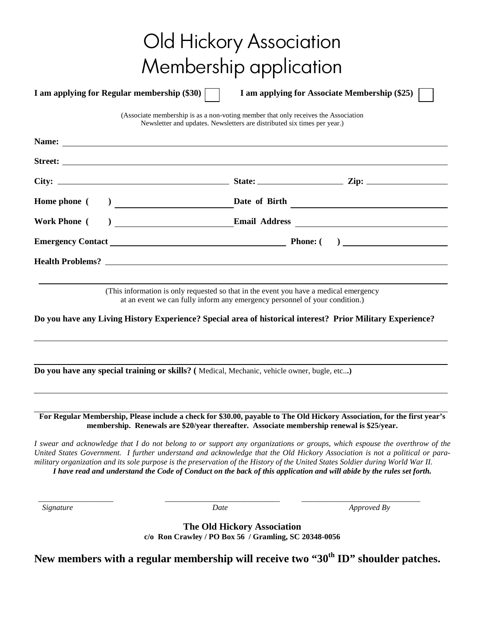|                                                                                                                                                                      | Old Hickory Association                                                                                                                                                                                                                                                                                                                                                                                                                                                                                               |
|----------------------------------------------------------------------------------------------------------------------------------------------------------------------|-----------------------------------------------------------------------------------------------------------------------------------------------------------------------------------------------------------------------------------------------------------------------------------------------------------------------------------------------------------------------------------------------------------------------------------------------------------------------------------------------------------------------|
|                                                                                                                                                                      |                                                                                                                                                                                                                                                                                                                                                                                                                                                                                                                       |
|                                                                                                                                                                      | Membership application                                                                                                                                                                                                                                                                                                                                                                                                                                                                                                |
| I am applying for Regular membership (\$30)                                                                                                                          | I am applying for Associate Membership (\$25)                                                                                                                                                                                                                                                                                                                                                                                                                                                                         |
|                                                                                                                                                                      | (Associate membership is as a non-voting member that only receives the Association<br>Newsletter and updates. Newsletters are distributed six times per year.)                                                                                                                                                                                                                                                                                                                                                        |
|                                                                                                                                                                      |                                                                                                                                                                                                                                                                                                                                                                                                                                                                                                                       |
|                                                                                                                                                                      |                                                                                                                                                                                                                                                                                                                                                                                                                                                                                                                       |
|                                                                                                                                                                      |                                                                                                                                                                                                                                                                                                                                                                                                                                                                                                                       |
| <b>Home phone</b> (                                                                                                                                                  |                                                                                                                                                                                                                                                                                                                                                                                                                                                                                                                       |
| <b>Work Phone</b> (                                                                                                                                                  | $\begin{tabular}{c} {\bf 1} & {\bf 2} & {\bf 3} & {\bf 4} \\ {\bf 5} & {\bf 6} & {\bf 7} & {\bf 8} \\ {\bf 10} & {\bf 11} & {\bf 12} & {\bf 13} \\ {\bf 11} & {\bf 14} & {\bf 15} & {\bf 16} \\ {\bf 16} & {\bf 17} & {\bf 18} & {\bf 18} \\ {\bf 18} & {\bf 19} & {\bf 19} & {\bf 19} \\ {\bf 19} & {\bf 19} & {\bf 19} & {\bf 19} \\ {\bf 19} & {\bf 19} & {\bf 19} & {\bf $                                                                                                                                        |
|                                                                                                                                                                      |                                                                                                                                                                                                                                                                                                                                                                                                                                                                                                                       |
|                                                                                                                                                                      |                                                                                                                                                                                                                                                                                                                                                                                                                                                                                                                       |
| (This information is only requested so that in the event you have a medical emergency<br>at an event we can fully inform any emergency personnel of your condition.) |                                                                                                                                                                                                                                                                                                                                                                                                                                                                                                                       |
| Do you have any Living History Experience? Special area of historical interest? Prior Military Experience?                                                           |                                                                                                                                                                                                                                                                                                                                                                                                                                                                                                                       |
| Do you have any special training or skills? (Medical, Mechanic, vehicle owner, bugle, etc)                                                                           |                                                                                                                                                                                                                                                                                                                                                                                                                                                                                                                       |
|                                                                                                                                                                      | For Regular Membership, Please include a check for \$30.00, payable to The Old Hickory Association, for the first year's<br>membership. Renewals are \$20/year thereafter. Associate membership renewal is \$25/year.                                                                                                                                                                                                                                                                                                 |
|                                                                                                                                                                      | I swear and acknowledge that I do not belong to or support any organizations or groups, which espouse the overthrow of the<br>United States Government. I further understand and acknowledge that the Old Hickory Association is not a political or para-<br>military organization and its sole purpose is the preservation of the History of the United States Soldier during World War II.<br>I have read and understand the Code of Conduct on the back of this application and will abide by the rules set forth. |

 *\_\_\_\_\_\_\_\_\_\_\_\_\_\_\_\_\_\_\_ \_\_\_\_\_\_\_\_\_\_\_\_\_\_\_\_\_\_\_\_\_\_\_\_\_\_\_\_\_ \_\_\_\_\_\_\_\_\_\_\_\_\_\_\_\_\_\_\_\_\_\_\_\_\_\_\_\_\_\_* 

*Date Date Approved By <i>By Approved By Approved By* 

**The Old Hickory Association c/o Ron Crawley / PO Box 56 / Gramling, SC 20348-0056** 

**New members with a regular membership will receive two "30th ID" shoulder patches.**